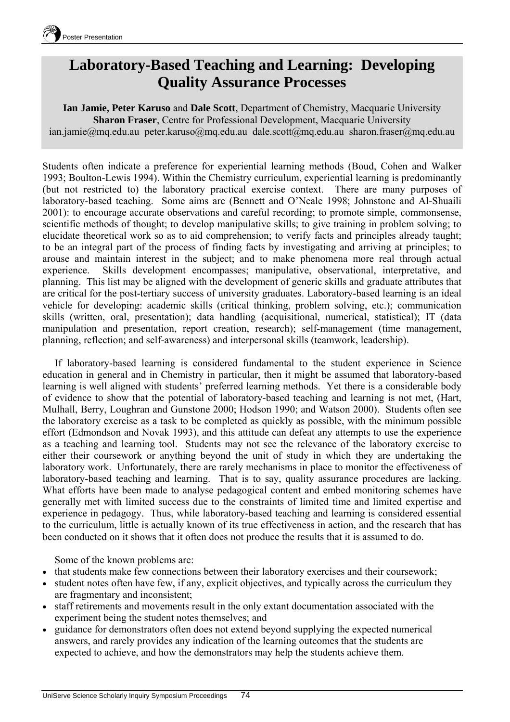

## **Laboratory-Based Teaching and Learning: Developing Quality Assurance Processes**

**Ian Jamie, Peter Karuso** and **Dale Scott**, Department of Chemistry, Macquarie University **Sharon Fraser**, Centre for Professional Development, Macquarie University ian.jamie@mq.edu.au peter.karuso@mq.edu.au dale.scott@mq.edu.au sharon.fraser@mq.edu.au

Students often indicate a preference for experiential learning methods (Boud, Cohen and Walker 1993; Boulton-Lewis 1994). Within the Chemistry curriculum, experiential learning is predominantly (but not restricted to) the laboratory practical exercise context. There are many purposes of laboratory-based teaching. Some aims are (Bennett and O'Neale 1998; Johnstone and Al-Shuaili 2001): to encourage accurate observations and careful recording; to promote simple, commonsense, scientific methods of thought; to develop manipulative skills; to give training in problem solving; to elucidate theoretical work so as to aid comprehension; to verify facts and principles already taught; to be an integral part of the process of finding facts by investigating and arriving at principles; to arouse and maintain interest in the subject; and to make phenomena more real through actual experience. Skills development encompasses; manipulative, observational, interpretative, and planning. This list may be aligned with the development of generic skills and graduate attributes that are critical for the post-tertiary success of university graduates. Laboratory-based learning is an ideal vehicle for developing: academic skills (critical thinking, problem solving, etc.); communication skills (written, oral, presentation); data handling (acquisitional, numerical, statistical); IT (data manipulation and presentation, report creation, research); self-management (time management, planning, reflection; and self-awareness) and interpersonal skills (teamwork, leadership).

If laboratory-based learning is considered fundamental to the student experience in Science education in general and in Chemistry in particular, then it might be assumed that laboratory-based learning is well aligned with students' preferred learning methods. Yet there is a considerable body of evidence to show that the potential of laboratory-based teaching and learning is not met, (Hart, Mulhall, Berry, Loughran and Gunstone 2000; Hodson 1990; and Watson 2000). Students often see the laboratory exercise as a task to be completed as quickly as possible, with the minimum possible effort (Edmondson and Novak 1993), and this attitude can defeat any attempts to use the experience as a teaching and learning tool. Students may not see the relevance of the laboratory exercise to either their coursework or anything beyond the unit of study in which they are undertaking the laboratory work. Unfortunately, there are rarely mechanisms in place to monitor the effectiveness of laboratory-based teaching and learning. That is to say, quality assurance procedures are lacking. What efforts have been made to analyse pedagogical content and embed monitoring schemes have generally met with limited success due to the constraints of limited time and limited expertise and experience in pedagogy. Thus, while laboratory-based teaching and learning is considered essential to the curriculum, little is actually known of its true effectiveness in action, and the research that has been conducted on it shows that it often does not produce the results that it is assumed to do.

Some of the known problems are:

- that students make few connections between their laboratory exercises and their coursework;
- student notes often have few, if any, explicit objectives, and typically across the curriculum they are fragmentary and inconsistent;
- staff retirements and movements result in the only extant documentation associated with the experiment being the student notes themselves; and
- guidance for demonstrators often does not extend beyond supplying the expected numerical answers, and rarely provides any indication of the learning outcomes that the students are expected to achieve, and how the demonstrators may help the students achieve them.